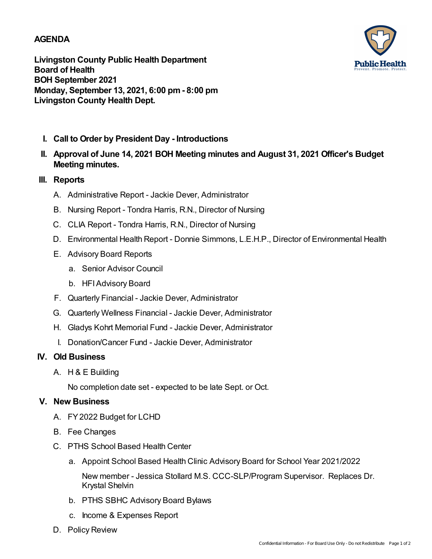### **AGENDA**



**Livingston County Public Health Department Board of Health BOH September 2021 Monday, September 13, 2021, 6:00 pm- 8:00 pm Livingston County Health Dept.**

- **I. Call to Order by President Day - Introductions**
- **Approval of June 14, 2021 BOH Meeting minutes and August 31, 2021 Officer's Budget II. Meeting minutes.**

## **III. Reports**

- A. Administrative Report Jackie Dever, Administrator
- B. Nursing Report Tondra Harris, R.N., Director of Nursing
- C. CLIA Report Tondra Harris, R.N., Director of Nursing
- D. Environmental Health Report Donnie Simmons, L.E.H.P., Director of Environmental Health
- E. Advisory Board Reports
	- a. Senior Advisor Council
	- b. HFIAdvisory Board
- F. Quarterly Financial Jackie Dever, Administrator
- G. Quarterly Wellness Financial Jackie Dever, Administrator
- H. Gladys Kohrt Memorial Fund Jackie Dever, Administrator
- I. Donation/Cancer Fund Jackie Dever, Administrator

# **IV. Old Business**

A. H & E Building

No completion date set - expected to be late Sept. or Oct.

### **V. New Business**

- A. FY2022 Budget for LCHD
- B. Fee Changes
- C. PTHS School Based Health Center
	- a. Appoint School Based Health Clinic Advisory Board for School Year 2021/2022

New member - Jessica Stollard M.S. CCC-SLP/Program Supervisor. Replaces Dr. Krystal Shelvin

- b. PTHS SBHC Advisory Board Bylaws
- c. Income & Expenses Report
- D. Policy Review